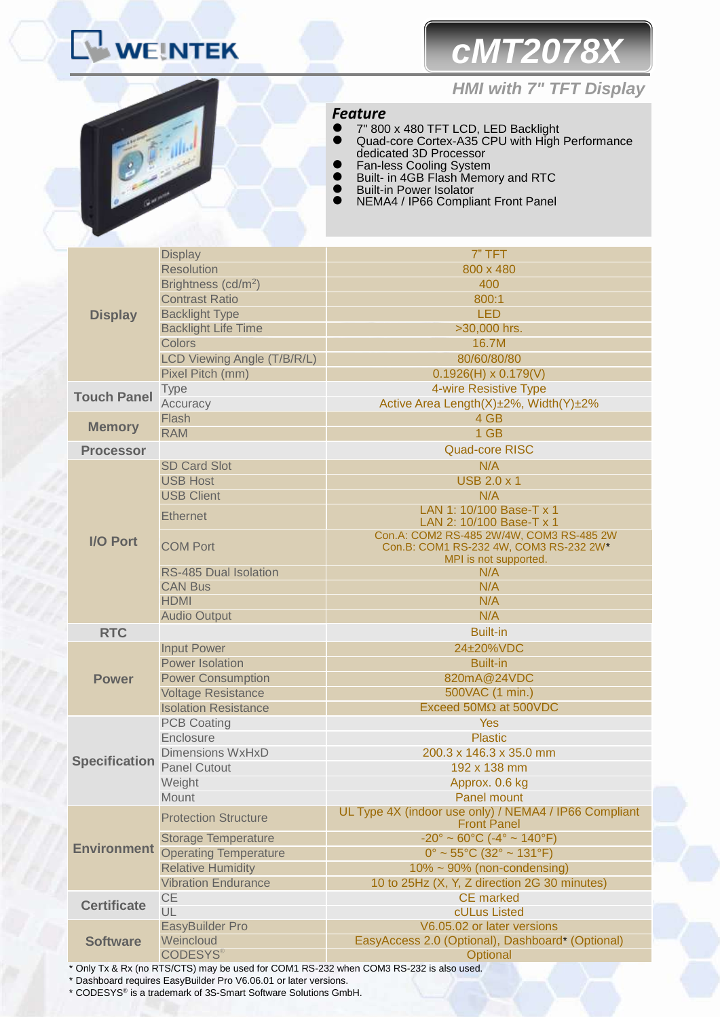# *cMT2078X*



### *HMI with 7" TFT Display*

### *Feature*

- 7" 800 x 480 TFT LCD, LED Backlight Quad-core Cortex-A35 CPU with High Performance dedicated 3D Processor
- **•** Fan-less Cooling System
- **Built- in 4GB Flash Memory and RTC**
- **•** Built-in Power Isolator
- NEMA4 / IP66 Compliant Front Panel

|                      | <b>Display</b>                  | 7" TFT                                                                      |  |
|----------------------|---------------------------------|-----------------------------------------------------------------------------|--|
|                      | <b>Resolution</b>               | 800 x 480                                                                   |  |
|                      | Brightness (cd/m <sup>2</sup> ) | 400                                                                         |  |
|                      | <b>Contrast Ratio</b>           | 800:1                                                                       |  |
| <b>Display</b>       | <b>Backlight Type</b>           | <b>LED</b>                                                                  |  |
|                      | <b>Backlight Life Time</b>      | >30,000 hrs.                                                                |  |
|                      | <b>Colors</b>                   | 16.7M                                                                       |  |
|                      | LCD Viewing Angle (T/B/R/L)     | 80/60/80/80                                                                 |  |
|                      | Pixel Pitch (mm)                | $0.1926(H) \times 0.179(V)$                                                 |  |
|                      | <b>Type</b>                     | 4-wire Resistive Type                                                       |  |
| <b>Touch Panel</b>   | Accuracy                        | Active Area Length(X)±2%, Width(Y)±2%                                       |  |
|                      | Flash                           | 4 GB                                                                        |  |
| <b>Memory</b>        | <b>RAM</b>                      | 1 GB                                                                        |  |
| <b>Processor</b>     |                                 | <b>Quad-core RISC</b>                                                       |  |
|                      | <b>SD Card Slot</b>             | N/A                                                                         |  |
|                      | <b>USB Host</b>                 | <b>USB 2.0 x 1</b>                                                          |  |
|                      | <b>USB Client</b>               | N/A                                                                         |  |
|                      |                                 | LAN 1: 10/100 Base-T x 1                                                    |  |
|                      | <b>Ethernet</b>                 | LAN 2: 10/100 Base-T x 1                                                    |  |
| <b>I/O Port</b>      |                                 | Con.A: COM2 RS-485 2W/4W, COM3 RS-485 2W                                    |  |
|                      | <b>COM Port</b>                 | Con.B: COM1 RS-232 4W, COM3 RS-232 2W*                                      |  |
|                      |                                 | MPI is not supported.                                                       |  |
|                      | <b>RS-485 Dual Isolation</b>    | N/A                                                                         |  |
|                      | <b>CAN Bus</b>                  | N/A                                                                         |  |
|                      | <b>HDMI</b>                     | N/A                                                                         |  |
|                      | <b>Audio Output</b>             | N/A                                                                         |  |
| <b>RTC</b>           |                                 | <b>Built-in</b>                                                             |  |
|                      | <b>Input Power</b>              | 24±20%VDC                                                                   |  |
|                      | Power Isolation                 | <b>Built-in</b>                                                             |  |
| <b>Power</b>         | <b>Power Consumption</b>        | 820mA@24VDC                                                                 |  |
|                      | <b>Voltage Resistance</b>       | 500VAC (1 min.)                                                             |  |
|                      | <b>Isolation Resistance</b>     | Exceed 50MΩ at 500VDC                                                       |  |
|                      | <b>PCB Coating</b>              | <b>Yes</b>                                                                  |  |
|                      | Enclosure                       | <b>Plastic</b>                                                              |  |
| <b>Specification</b> | <b>Dimensions WxHxD</b>         | 200.3 x 146.3 x 35.0 mm                                                     |  |
|                      | <b>Panel Cutout</b>             | 192 x 138 mm                                                                |  |
|                      | Weight                          | Approx. 0.6 kg                                                              |  |
|                      | Mount                           | Panel mount                                                                 |  |
| <b>Environment</b>   | <b>Protection Structure</b>     | UL Type 4X (indoor use only) / NEMA4 / IP66 Compliant<br><b>Front Panel</b> |  |
|                      | <b>Storage Temperature</b>      | $-20^{\circ} \sim 60^{\circ}$ C ( $-4^{\circ} \sim 140^{\circ}$ F)          |  |
|                      | <b>Operating Temperature</b>    | $0^{\circ}$ ~ 55°C (32° ~ 131°F)                                            |  |
|                      | <b>Relative Humidity</b>        | $10\% \sim 90\%$ (non-condensing)                                           |  |
|                      | <b>Vibration Endurance</b>      | 10 to 25Hz (X, Y, Z direction 2G 30 minutes)                                |  |
|                      | <b>CE</b>                       | <b>CE</b> marked                                                            |  |
| <b>Certificate</b>   | UL                              | cULus Listed                                                                |  |
| <b>Software</b>      | EasyBuilder Pro                 | V6.05.02 or later versions                                                  |  |
|                      | Weincloud                       | EasyAccess 2.0 (Optional), Dashboard* (Optional)                            |  |
|                      | <b>CODESYS®</b>                 | Optional                                                                    |  |

\* Only Tx & Rx (no RTS/CTS) may be used for COM1 RS-232 when COM3 RS-232 is also used.

\* Dashboard requires EasyBuilder Pro V6.06.01 or later versions.

\* CODESYS® is a trademark of 3S-Smart Software Solutions GmbH.